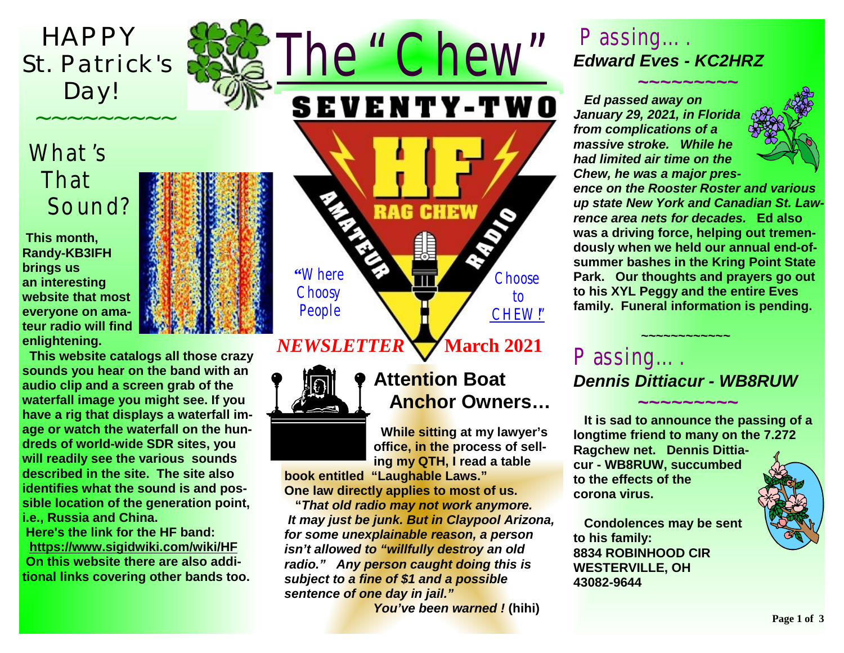*HAPPY St. Patrick' s Day!* 

 *~~~~~~~~~*

# What's That Sound?

 **This month, Randy-KB3IFH brings us an interesting website that most everyone on amateur radio will find enlightening.** 

 **This website catalogs all those crazy sounds you hear on the band with an audio clip and a screen grab of the waterfall image you might see. If you have a rig that displays a waterfall image or watch the waterfall on the hundreds of world-wide SDR sites, you will readily see the various sounds described in the site. The site also identifies what the sound is and possible location of the generation point, i.e., Russia and China. Here's the link for the HF band: <https://www.sigidwiki.com/wiki/HF> On this website there are also additional links covering other bands too.**





### **NEWSLETTER March** 2021



### **Attention Boat Anchor Owners…**

 **While sitting at my lawyer's office, in the process of selling my QTH, I read a table** 

**book entitled "Laughable Laws." One law directly applies to most of us.** 

 **"***That old radio may not work anymore. It may just be junk. But in Claypool Arizona, for some unexplainable reason, a person isn't allowed to "willfully destroy an old radio." Any person caught doing this is subject to a fine of \$1 and a possible sentence of one day in jail."* 

*You've been warned !* **(hihi)** 

### *Passing…. Edward Eves - KC2HRZ*

 *~~~~~~~~~*

 *Ed passed away on January 29, 2021, in Florida from complications of a massive stroke. While he had limited air time on the Chew, he was a major pres-*



*ence on the Rooster Roster and various up state New York and Canadian St. Lawrence area nets for decades.* **Ed also was a driving force, helping out tremendously when we held our annual end-ofsummer bashes in the Kring Point State Park. Our thoughts and prayers go out to his XYL Peggy and the entire Eves family. Funeral information is pending.** 

## *Passing…. Dennis Dittiacur - WB8RUW*

★<del><u>~~~~~~~~~~~~~~</u></del>

 *~~~~~~~~~*  **It is sad to announce the passing of a longtime friend to many on the 7.272 Ragchew net. Dennis Dittiacur - WB8RUW, succumbed to the effects of the corona virus.** 

 **Condolences may be sent to his family: 8834 ROBINHOOD CIR WESTERVILLE, OH 43082-9644** 

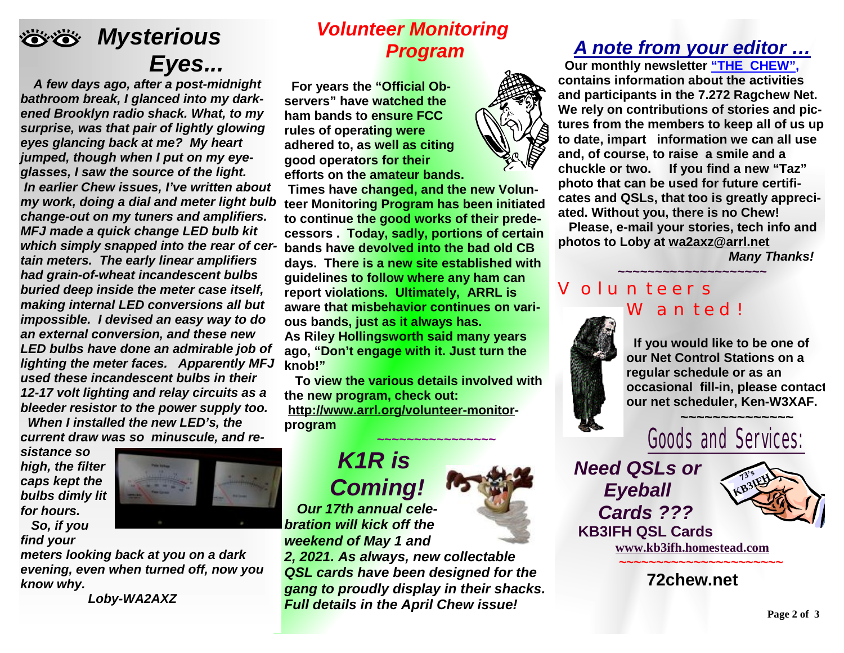

which simply snapped into the rear of cer- bands have devolved into the bad old CB *kighting the meter faces. Apparently MFJ knob!" <sup>A</sup> few days ago, after <sup>a</sup> post-midnight bathroom break, I glanced into my darkened Brooklyn radio shack. What, to my surprise, was that pair of lightly glowing eyes glancing back at me? My heart jumped, though when I put on my eyeglasses, I saw the source of the light. In earlier Chew issues, I've written about my work, doing a dial and meter light bulb change-out on my tuners and amplifiers. MFJ made a quick change LED bulb kit tain meters. The early linear amplifiers had grain-of-wheat incandescent bulbs buried deep inside the meter case itself, making internal LED conversions all but impossible. I devised an easy way to do an external conversion, and these new LED bulbs have done an admirable job of used these incandescent bulbs in their 12-17 volt lighting and relay circuits as a bleeder resistor to the power supply too.* 

 *When I installed the new LED's, the current draw was so minuscule, and re-*

*sistance so high, the filter caps kept the bulbs dimly lit for hours.* 

 *So, if you find your* 

*meters looking back at you on a dark evening, even when turned off, now you know why.* 

 *Loby-WA2AXZ*

#### *Volunteer Monitoring Program*

 **For years the "Official Observers" have watched the ham bands to ensure FCC rules of operating were adhered to, as well as citing good operators for their efforts on the amateur bands.** 

**Times have changed, and the new Volunteer Monitoring Program has been initiated to continue the good works of their predecessors . Today, sadly, portions of certain days. There is a new site established with guidelines to follow where any ham can report violations. Ultimately, ARRL is aware that misbehavior continues on various bands, just as it always has. As Riley Hollingsworth said many years ago, "Don't engage with it. Just turn the** 

 **To view the various details involved with the new program, check out: <http://www.arrl.org/volunteer-monitor>program**  ★<del>─</del>────────<del>──</del>

> *K1R is Coming!*

 *Our 17th annual celebration will kick off the weekend of May 1 and* 

*2, 2021. As always, new collectable QSL cards have been designed for the gang to proudly display in their shacks. Full details in the April Chew issue!*

#### *A note from your editor …*

 **Our monthly newsletter "THE CHEW", contains information about the activities and participants in the 7.272 Ragchew Net. We rely on contributions of stories and pictures from the members to keep all of us up to date, impart information we can all use and, of course, to raise a smile and a chuckle or two. If you find a new "Taz" photo that can be used for future certificates and QSLs, that too is greatly appreciated. Without you, there is no Chew! Please, e-mail your stories, tech info and photos to Loby at [wa2axz@arrl.net](mailto:wa2axz@arrl.net)** 

**~~~~~~~~~~~~~~~~~~~~**

*Many Thanks!* 

#### Volunteers Wanted!



 **If you would like to be one of our Net Control Stations on a regular schedule or as an occasional fill-in, please contact our net scheduler, Ken-W3XAF.**



*Need QSLs or Eyeball Cards ???*   **KB3IFH QSL Cards** 



**[www.kb3ifh.homestead.com](http://www.kb3ifh.homestead.com) ~~~~~~~~~~~~~~~~~~~~~~** 

**72chew.net**